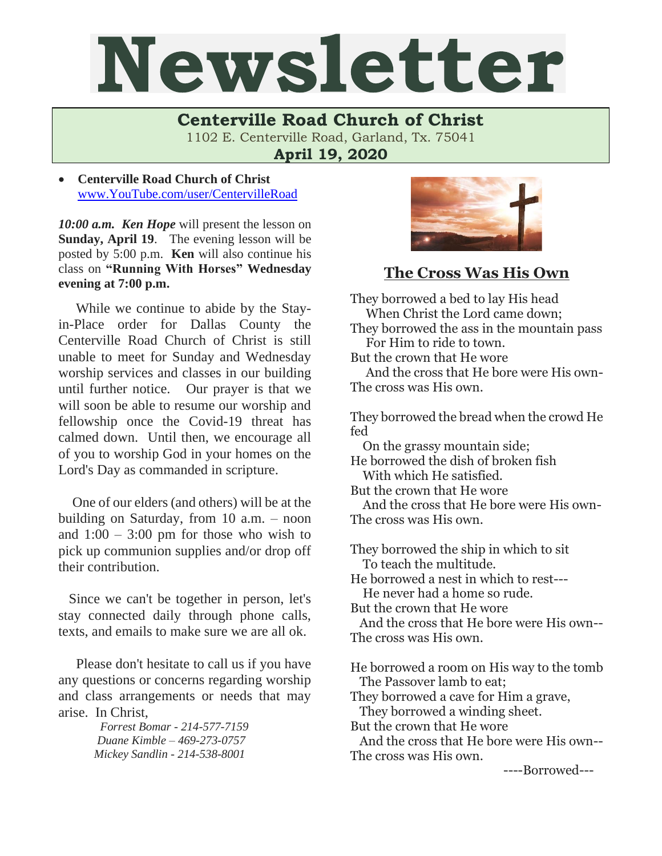## Newsletter

**Centerville Road Church of Christ**  1102 E. Centerville Road, Garland, Tx. 75041

**April 19, 2020**

• **Centerville Road Church of Christ** [www.YouTube.com/user/CentervilleRoad](http://www.youtube.com/user/CentervilleRoad)

*10:00 a.m. Ken Hope* will present the lesson on **Sunday, April 19**. The evening lesson will be posted by 5:00 p.m. **Ken** will also continue his class on **"Running With Horses" Wednesday evening at 7:00 p.m.** 

 While we continue to abide by the Stayin-Place order for Dallas County the Centerville Road Church of Christ is still unable to meet for Sunday and Wednesday worship services and classes in our building until further notice. Our prayer is that we will soon be able to resume our worship and fellowship once the Covid-19 threat has calmed down. Until then, we encourage all of you to worship God in your homes on the Lord's Day as commanded in scripture.

 One of our elders (and others) will be at the building on Saturday, from 10 a.m. – noon and  $1:00 - 3:00$  pm for those who wish to pick up communion supplies and/or drop off their contribution.

 Since we can't be together in person, let's stay connected daily through phone calls, texts, and emails to make sure we are all ok.

Please don't hesitate to call us if you have any questions or concerns regarding worship and class arrangements or needs that may arise. In Christ,

> *Forrest Bomar - 214-577-7159 Duane Kimble – 469-273-0757 Mickey Sandlin - 214-538-8001*



## **The Cross Was His Own**

They borrowed a bed to lay His head When Christ the Lord came down; They borrowed the ass in the mountain pass For Him to ride to town. But the crown that He wore And the cross that He bore were His own-The cross was His own. They borrowed the bread when the crowd He fed On the grassy mountain side; He borrowed the dish of broken fish With which He satisfied. But the crown that He wore And the cross that He bore were His own-The cross was His own. They borrowed the ship in which to sit To teach the multitude. He borrowed a nest in which to rest--- He never had a home so rude. But the crown that He wore And the cross that He bore were His own-- The cross was His own. He borrowed a room on His way to the tomb The Passover lamb to eat; They borrowed a cave for Him a grave, They borrowed a winding sheet. But the crown that He wore And the cross that He bore were His own--

The cross was His own.

----Borrowed---